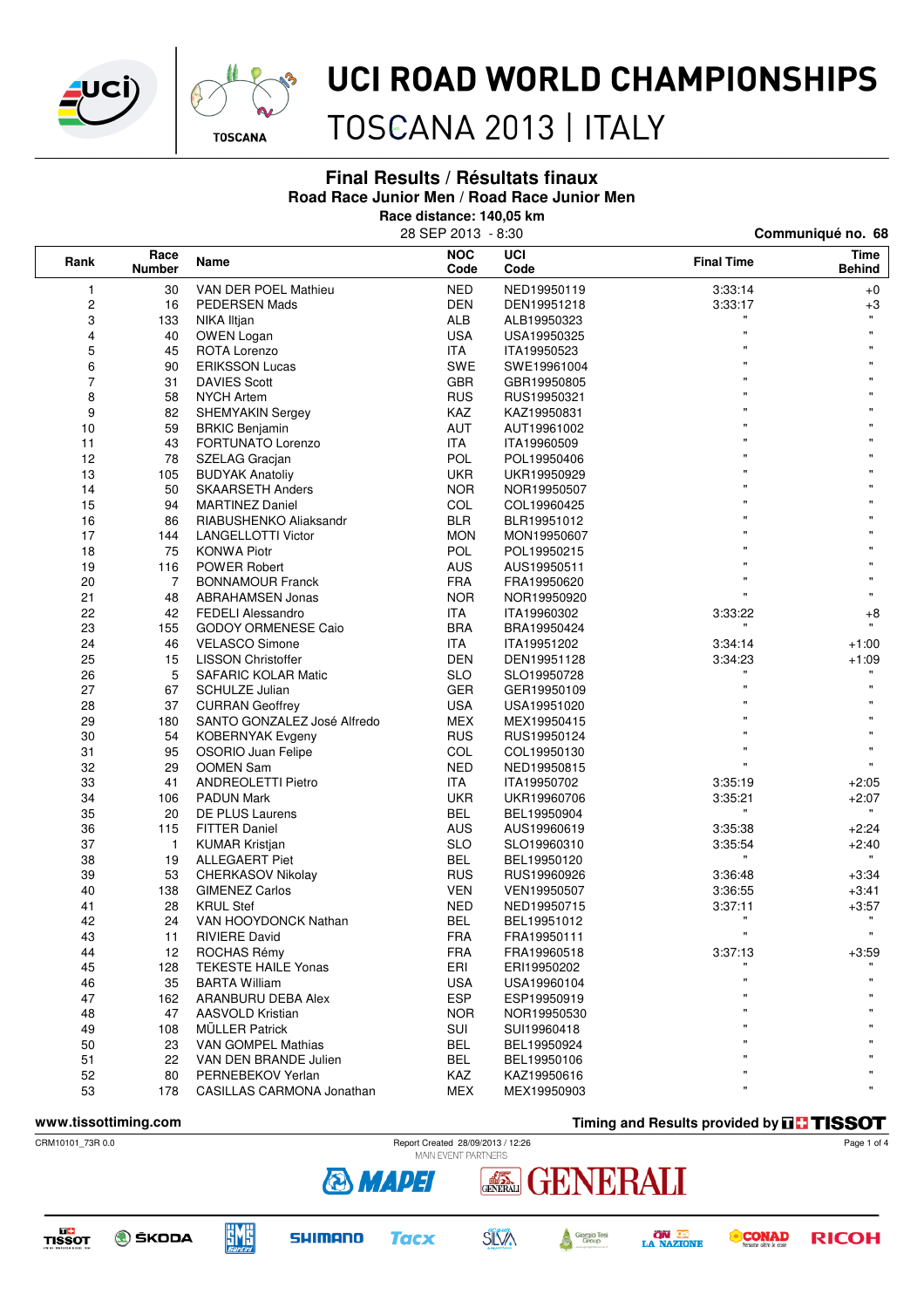



TOSCANA 2013 | ITALY

#### **Final Results / Résultats finaux Road Race Junior Men / Road Race Junior Men**

**Race distance: 140,05 km**

|                               |                |                             | 28 SEP 2013 - 8:30 |                    | Communiqué no. 68 |                       |  |
|-------------------------------|----------------|-----------------------------|--------------------|--------------------|-------------------|-----------------------|--|
| Race<br>Rank<br><b>Number</b> |                | Name                        | <b>NOC</b><br>Code | <b>UCI</b><br>Code | <b>Final Time</b> | Time<br><b>Behind</b> |  |
| 1                             | 30             | VAN DER POEL Mathieu        | <b>NED</b>         | NED19950119        | 3:33:14           | $+0$                  |  |
| $\boldsymbol{2}$              | 16             | <b>PEDERSEN Mads</b>        | <b>DEN</b>         | DEN19951218        | 3:33:17           | $+3$                  |  |
| 3                             | 133            | NIKA Iltjan                 | ALB                | ALB19950323        |                   | $\mathbf{H}$          |  |
| 4                             | 40             | <b>OWEN Logan</b>           | <b>USA</b>         | USA19950325        | $\mathbf{u}$      |                       |  |
| 5                             | 45             | ROTA Lorenzo                | ITA                | ITA19950523        | $\mathbf{u}$      |                       |  |
| 6                             | 90             | <b>ERIKSSON Lucas</b>       | SWE                | SWE19961004        | $\mathbf{u}$      |                       |  |
| 7                             | 31             | <b>DAVIES Scott</b>         | <b>GBR</b>         | GBR19950805        |                   |                       |  |
| 8                             | 58             | <b>NYCH Artem</b>           | <b>RUS</b>         | RUS19950321        | $\mathbf{u}$      |                       |  |
| 9                             | 82             | <b>SHEMYAKIN Sergey</b>     | KAZ                | KAZ19950831        | $\mathbf{u}$      |                       |  |
| 10                            | 59             | <b>BRKIC Benjamin</b>       | <b>AUT</b>         | AUT19961002        | $\mathbf{u}$      |                       |  |
| 11                            | 43             | FORTUNATO Lorenzo           | <b>ITA</b>         | ITA19960509        | $\mathbf{u}$      |                       |  |
| 12                            | 78             | SZELAG Gracjan              | <b>POL</b>         | POL19950406        | $\mathbf{u}$      |                       |  |
| 13                            | 105            | <b>BUDYAK Anatoliy</b>      | UKR                | UKR19950929        | $\mathbf{u}$      |                       |  |
| 14                            | 50             | <b>SKAARSETH Anders</b>     | <b>NOR</b>         | NOR19950507        | $\mathbf{u}$      |                       |  |
| 15                            | 94             | <b>MARTINEZ Daniel</b>      | COL                | COL19960425        | $\mathbf{u}$      | Ħ                     |  |
| 16                            | 86             | RIABUSHENKO Aliaksandr      | <b>BLR</b>         | BLR19951012        | $\mathbf{u}$      |                       |  |
| 17                            | 144            | <b>LANGELLOTTI Victor</b>   | <b>MON</b>         | MON19950607        |                   |                       |  |
| 18                            | 75             | <b>KONWA Piotr</b>          | POL                | POL19950215        | $\mathbf{u}$      |                       |  |
| 19                            | 116            | <b>POWER Robert</b>         | AUS                | AUS19950511        | $\mathbf{u}$      | Ħ                     |  |
| 20                            | $\overline{7}$ | <b>BONNAMOUR Franck</b>     | <b>FRA</b>         | FRA19950620        | $\mathbf{u}$      |                       |  |
| 21                            | 48             | <b>ABRAHAMSEN Jonas</b>     | <b>NOR</b>         | NOR19950920        | $\mathbf{u}$      | $\mathbf{u}$          |  |
| 22                            | 42             | <b>FEDELI Alessandro</b>    | ITA.               | ITA19960302        | 3:33:22           | $+8$                  |  |
| 23                            | 155            | <b>GODOY ORMENESE Caio</b>  | <b>BRA</b>         | BRA19950424        |                   | $\mathbf{H}$ .        |  |
| 24                            | 46             | <b>VELASCO Simone</b>       | <b>ITA</b>         | ITA19951202        | 3:34:14           | $+1:00$               |  |
| 25                            | 15             | <b>LISSON Christoffer</b>   | DEN                | DEN19951128        | 3:34:23           | $+1:09$               |  |
| 26                            | 5              | <b>SAFARIC KOLAR Matic</b>  | <b>SLO</b>         | SLO19950728        |                   |                       |  |
| 27                            | 67             | <b>SCHULZE Julian</b>       | GER                | GER19950109        | $\mathbf{u}$      | Ħ.                    |  |
| 28                            | 37             | <b>CURRAN Geoffrey</b>      | <b>USA</b>         | USA19951020        | $\mathbf{u}$      |                       |  |
| 29                            | 180            | SANTO GONZALEZ José Alfredo | MEX                | MEX19950415        | $\mathbf{u}$      |                       |  |
| 30                            | 54             | <b>KOBERNYAK Evgeny</b>     | <b>RUS</b>         | RUS19950124        |                   |                       |  |
| 31                            | 95             | OSORIO Juan Felipe          | COL                | COL19950130        | $\mathbf{u}$      |                       |  |
| 32                            | 29             | <b>OOMEN Sam</b>            | <b>NED</b>         | NED19950815        | $\mathbf{u}$      | $\mathbf{u}$          |  |
| 33                            | 41             | <b>ANDREOLETTI Pietro</b>   | ITA.               | ITA19950702        | 3:35:19           | $+2:05$               |  |
| 34                            | 106            | <b>PADUN Mark</b>           | <b>UKR</b>         | UKR19960706        | 3:35:21           | $+2:07$               |  |
| 35                            | 20             | DE PLUS Laurens             | <b>BEL</b>         | BEL19950904        |                   | $\mathbf{H}$          |  |
| 36                            | 115            | <b>FITTER Daniel</b>        | <b>AUS</b>         | AUS19960619        | 3:35:38           | $+2:24$               |  |
| 37                            | 1              | <b>KUMAR Kristjan</b>       | <b>SLO</b>         | SLO19960310        | 3:35:54           | $+2:40$               |  |
| 38                            | 19             | <b>ALLEGAERT Piet</b>       | BEL                | BEL19950120        |                   |                       |  |
| 39                            | 53             | <b>CHERKASOV Nikolay</b>    | <b>RUS</b>         | RUS19960926        | 3:36:48           | $+3:34$               |  |
| 40                            | 138            | <b>GIMENEZ Carlos</b>       | <b>VEN</b>         | VEN19950507        | 3:36:55           | $+3:41$               |  |
| 41                            | 28             | <b>KRUL Stef</b>            | <b>NED</b>         | NED19950715        | 3:37:11           | $+3:57$               |  |
| 42                            | 24             | VAN HOOYDONCK Nathan        | <b>BEL</b>         | BEL19951012        | $\mathbf{H}$      | $\mathbf{u}$          |  |
| 43                            | 11             | <b>RIVIERE David</b>        | <b>FRA</b>         | FRA19950111        |                   |                       |  |
| 44                            | 12             | ROCHAS Rémy                 | <b>FRA</b>         | FRA19960518        | 3:37:13           | $+3:59$               |  |
| 45                            | 128            | <b>TEKESTE HAILE Yonas</b>  | ERI                | ERI19950202        |                   |                       |  |
| 46                            | 35             | <b>BARTA William</b>        | <b>USA</b>         | USA19960104        | $\mathbf{u}$      |                       |  |
| 47                            | 162            | ARANBURU DEBA Alex          | <b>ESP</b>         | ESP19950919        | $\mathbf{H}$      |                       |  |
| 48                            | 47             | AASVOLD Kristian            | <b>NOR</b>         | NOR19950530        | $\mathbf{H}$      |                       |  |
| 49                            | 108            | <b>MÜLLER Patrick</b>       | SUI                | SUI19960418        | $\mathbf{H}$      |                       |  |
| 50                            | 23             | VAN GOMPEL Mathias          | <b>BEL</b>         | BEL19950924        |                   |                       |  |
| 51                            | 22             | VAN DEN BRANDE Julien       | <b>BEL</b>         | BEL19950106        |                   |                       |  |
| 52                            | 80             | PERNEBEKOV Yerlan           | KAZ                | KAZ19950616        | $\mathbf{H}$      |                       |  |
| 53                            | 178            | CASILLAS CARMONA Jonathan   | <b>MEX</b>         | MEX19950903        | $\mathbf{u}$      | Ħ                     |  |

**www.tissottiming.com Timing and Results provided by THSSOT** 





**DC**<br>TISSOT **O** ŠKODA







GENERALI

ENERALI



Page 1 of 4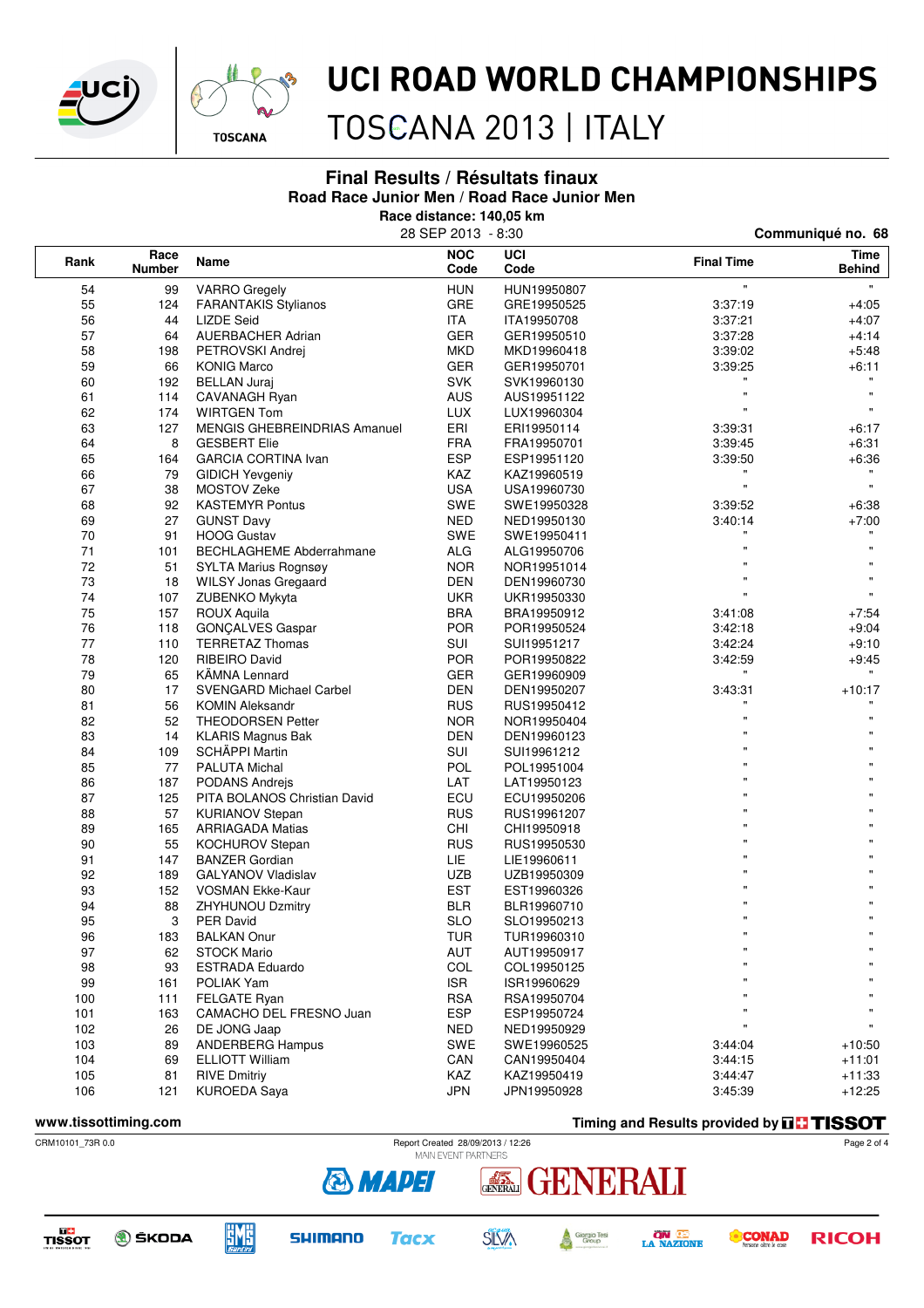



TOSCANA 2013 | ITALY

#### **Final Results / Résultats finaux Road Race Junior Men / Road Race Junior Men**

**Race distance: 140,05 km**

|                               |     |                                     | 28 SEP 2013 - 8:30 | Communiqué no. 68  |                    |                       |  |
|-------------------------------|-----|-------------------------------------|--------------------|--------------------|--------------------|-----------------------|--|
| Race<br>Rank<br><b>Number</b> |     | <b>Name</b>                         | <b>NOC</b><br>Code | <b>UCI</b><br>Code | <b>Final Time</b>  | Time<br><b>Behind</b> |  |
| 54                            | 99  | <b>VARRO</b> Gregely                | <b>HUN</b>         | HUN19950807        | $\bar{\mathbf{u}}$ | Ħ.                    |  |
| 55                            | 124 | <b>FARANTAKIS Stylianos</b>         | GRE                | GRE19950525        | 3:37:19            | $+4:05$               |  |
| 56                            | 44  | <b>LIZDE Seid</b>                   | <b>ITA</b>         | ITA19950708        | 3:37:21            | $+4:07$               |  |
| 57                            | 64  | <b>AUERBACHER Adrian</b>            | <b>GER</b>         | GER19950510        | 3:37:28            | $+4.14$               |  |
| 58                            | 198 | PETROVSKI Andrej                    | <b>MKD</b>         | MKD19960418        | 3:39:02            | $+5:48$               |  |
| 59                            | 66  | <b>KONIG Marco</b>                  | <b>GER</b>         | GER19950701        | 3:39:25            | $+6:11$               |  |
| 60                            | 192 | <b>BELLAN Juraj</b>                 | <b>SVK</b>         | SVK19960130        | $\mathbf{u}$       |                       |  |
| 61                            | 114 | CAVANAGH Ryan                       | <b>AUS</b>         | AUS19951122        | 'n                 |                       |  |
| 62                            | 174 | <b>WIRTGEN Tom</b>                  | <b>LUX</b>         | LUX19960304        | $\mathbf{u}$       | $\mathbf{H}$          |  |
| 63                            | 127 | <b>MENGIS GHEBREINDRIAS Amanuel</b> | ERI                | ERI19950114        | 3:39:31            | +6:17                 |  |
| 64                            | 8   | <b>GESBERT Elie</b>                 | <b>FRA</b>         | FRA19950701        | 3:39:45            | $+6:31$               |  |
| 65                            | 164 | <b>GARCIA CORTINA Ivan</b>          | <b>ESP</b>         | ESP19951120        | 3:39:50            | $+6:36$               |  |
| 66                            | 79  | <b>GIDICH Yevgeniy</b>              | KAZ                | KAZ19960519        |                    |                       |  |
| 67                            | 38  | MOSTOV Zeke                         | <b>USA</b>         | USA19960730        | $\mathbf{u}$       |                       |  |
| 68                            | 92  | <b>KASTEMYR Pontus</b>              | SWE                | SWE19950328        | 3:39:52            | $+6.38$               |  |
| 69                            | 27  | <b>GUNST Davy</b>                   | NED                | NED19950130        | 3:40:14            | $+7:00$               |  |
| 70                            | 91  | <b>HOOG Gustav</b>                  | SWE                | SWE19950411        |                    |                       |  |
| 71                            | 101 | <b>BECHLAGHEME Abderrahmane</b>     | <b>ALG</b>         | ALG19950706        | 'n                 |                       |  |
| 72                            | 51  | SYLTA Marius Rognsøy                | <b>NOR</b>         | NOR19951014        |                    |                       |  |
| 73                            | 18  | <b>WILSY Jonas Gregaard</b>         | <b>DEN</b>         | DEN19960730        | Ħ                  | $\mathbf{u}$          |  |
| 74                            | 107 | ZUBENKO Mykyta                      | <b>UKR</b>         | UKR19950330        | $\mathbf{u}$       | $\mathbf{u}$          |  |
| 75                            | 157 | <b>ROUX Aquila</b>                  | <b>BRA</b>         | BRA19950912        | 3:41:08            | $+7:54$               |  |
| 76                            | 118 | GONÇALVES Gaspar                    | <b>POR</b>         | POR19950524        | 3:42:18            | $+9:04$               |  |
| 77                            | 110 | <b>TERRETAZ Thomas</b>              | SUI                | SUI19951217        | 3:42:24            | $+9:10$               |  |
| 78                            | 120 | RIBEIRO David                       | <b>POR</b>         | POR19950822        | 3:42:59            | $+9:45$               |  |
| 79                            | 65  | <b>KAMNA Lennard</b>                | GER                | GER19960909        |                    |                       |  |
| 80                            | 17  | <b>SVENGARD Michael Carbel</b>      | <b>DEN</b>         | DEN19950207        | 3:43:31            | $+10:17$              |  |
| 81                            | 56  | <b>KOMIN Aleksandr</b>              | <b>RUS</b>         | RUS19950412        |                    |                       |  |
| 82                            | 52  | THEODORSEN Petter                   | <b>NOR</b>         | NOR19950404        | $\mathbf{u}$       |                       |  |
| 83                            | 14  | <b>KLARIS Magnus Bak</b>            | <b>DEN</b>         | DEN19960123        | Ħ                  |                       |  |
| 84                            | 109 | SCHÄPPI Martin                      | SUI                | SUI19961212        |                    |                       |  |
| 85                            | 77  | <b>PALUTA Michal</b>                | POL                | POL19951004        | $\mathbf{u}$       |                       |  |
| 86                            | 187 | PODANS Andrejs                      | LAT                | LAT19950123        |                    |                       |  |
| 87                            | 125 | PITA BOLANOS Christian David        | ECU                | ECU19950206        |                    |                       |  |
| 88                            | 57  | <b>KURIANOV Stepan</b>              | <b>RUS</b>         | RUS19961207        | $\mathbf{u}$       |                       |  |
| 89                            | 165 | <b>ARRIAGADA Matias</b>             | CHI                | CHI19950918        |                    |                       |  |
| 90                            | 55  | <b>KOCHUROV Stepan</b>              | <b>RUS</b>         | RUS19950530        | Ħ                  |                       |  |
| 91                            | 147 | <b>BANZER Gordian</b>               | LIE.               | LIE19960611        | $\mathbf{u}$       | $\mathbf{u}$          |  |
| 92                            | 189 | <b>GALYANOV Vladislav</b>           | <b>UZB</b>         | UZB19950309        |                    |                       |  |
| 93                            | 152 | <b>VOSMAN Ekke-Kaur</b>             | <b>EST</b>         | EST19960326        |                    |                       |  |
| 94                            | 88  | <b>ZHYHUNOU Dzmitry</b>             | BLR                | BLR19960710        |                    |                       |  |
| 95                            | 3   | PER David                           | <b>SLO</b>         | SLO19950213        | $\mathbf{u}$       | $\mathbf{u}$          |  |
| 96                            | 183 | <b>BALKAN Onur</b>                  | <b>TUR</b>         | TUR19960310        |                    |                       |  |
| 97                            | 62  | <b>STOCK Mario</b>                  | AUT                | AUT19950917        | Ħ                  |                       |  |
| 98                            | 93  | <b>ESTRADA Eduardo</b>              | COL                | COL19950125        | π                  |                       |  |
| 99                            | 161 | POLIAK Yam                          | <b>ISR</b>         | ISR19960629        | $\mathbf{u}$       |                       |  |
| 100                           | 111 | FELGATE Ryan                        | <b>RSA</b>         | RSA19950704        | $\mathbf{u}$       |                       |  |
| 101                           | 163 | CAMACHO DEL FRESNO Juan             | <b>ESP</b>         | ESP19950724        | $\pmb{\mathsf{u}}$ |                       |  |
| 102                           | 26  | DE JONG Jaap                        | <b>NED</b>         | NED19950929        | $\pmb{\mathsf{u}}$ |                       |  |
| 103                           | 89  | <b>ANDERBERG Hampus</b>             | SWE                | SWE19960525        | 3:44:04            | $+10:50$              |  |
| 104                           | 69  | <b>ELLIOTT William</b>              | CAN                | CAN19950404        | 3:44:15            | $+11:01$              |  |
| 105                           | 81  | <b>RIVE Dmitriy</b>                 | KAZ                | KAZ19950419        | 3:44:47            | $+11:33$              |  |
| 106                           | 121 | KUROEDA Saya                        | <b>JPN</b>         | JPN19950928        | 3:45:39            | $+12:25$              |  |
|                               |     |                                     |                    |                    |                    |                       |  |

**& MAPEI** 

**Tacx** 

**SHIMANO** 

**EME** 

**O** ŠKODA

**www.tissottiming.com Timing and Results provided by THSSOT** 

**CONAD** 

**ON LE**<br>LA NAZIONE



**DC**<br>TISSOT



Giorgio Tesi<br>Group

A

**SILVA** 

Page 2 of 4

**RICOH**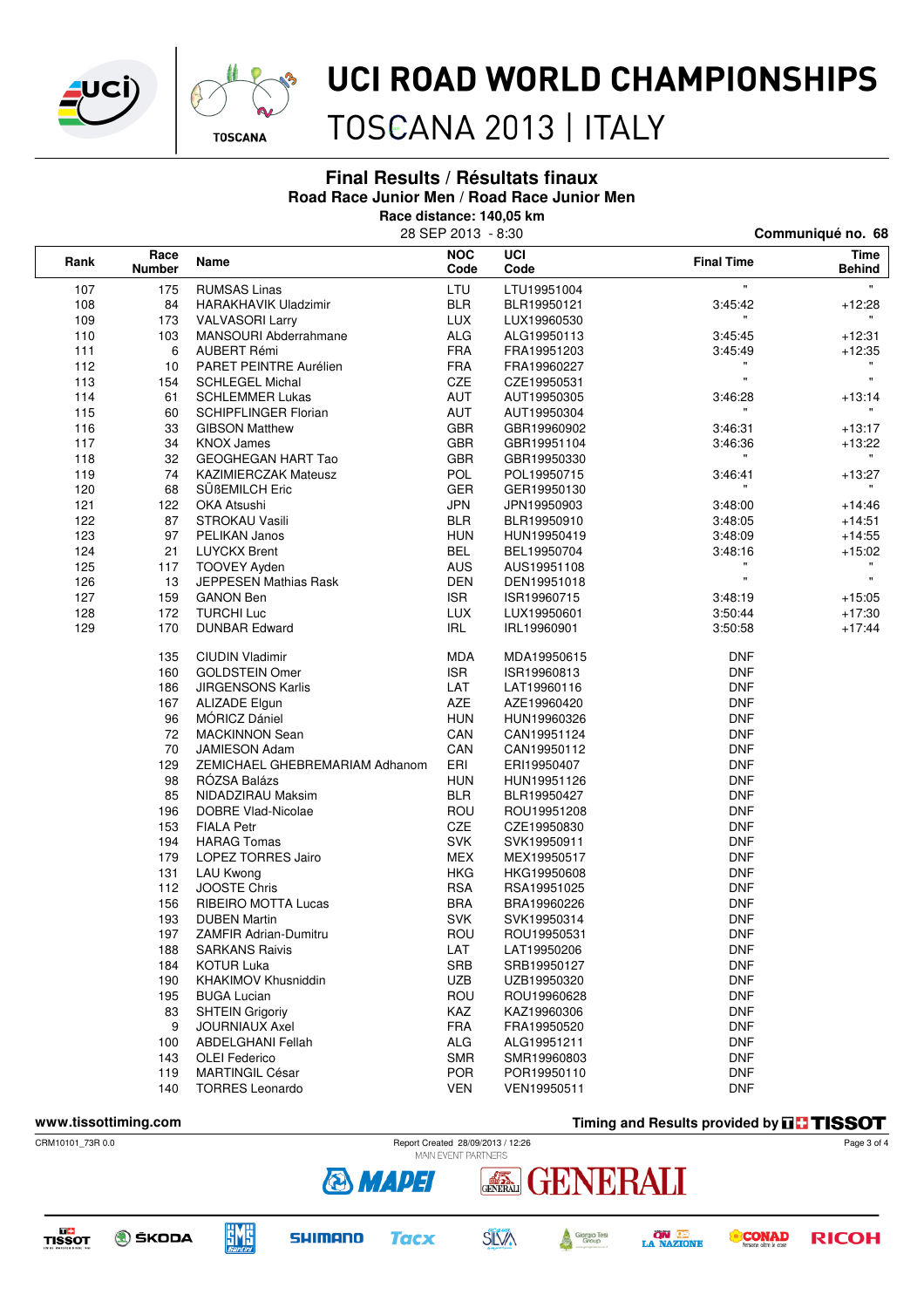



TOSCANA 2013 | ITALY

#### **Final Results / Résultats finaux Road Race Junior Men / Road Race Junior Men**

**Race distance: 140,05 km**

|                      |                       | 28 SEP 2013 - 8:30             | Communiqué no. 68  |             |                                                  |                       |
|----------------------|-----------------------|--------------------------------|--------------------|-------------|--------------------------------------------------|-----------------------|
| Rank                 | Race<br><b>Number</b> | Name                           | <b>NOC</b><br>Code | UCI<br>Code | <b>Final Time</b>                                | Time<br><b>Behind</b> |
| 107                  | 175                   | <b>RUMSAS Linas</b>            | LTU                | LTU19951004 | $\mathbf{u}$                                     | $\mathbf{H}$ .        |
| 108                  | 84                    | HARAKHAVIK Uladzimir           | <b>BLR</b>         | BLR19950121 | 3:45:42                                          | $+12:28$              |
| 109                  | 173                   | <b>VALVASORI Larry</b>         | <b>LUX</b>         | LUX19960530 |                                                  |                       |
| 110                  | 103                   | MANSOURI Abderrahmane          | <b>ALG</b>         | ALG19950113 | 3:45:45                                          | $+12:31$              |
| 111                  | 6                     | AUBERT Rémi                    | <b>FRA</b>         | FRA19951203 | 3:45:49                                          | $+12:35$              |
| 112                  | 10                    | PARET PEINTRE Aurélien         | <b>FRA</b>         | FRA19960227 | $\mathbf{u}$                                     |                       |
| 113                  | 154                   | <b>SCHLEGEL Michal</b>         | CZE                | CZE19950531 | w.                                               | $\mathbf{u}$          |
| 114                  | 61                    | <b>SCHLEMMER Lukas</b>         | AUT                | AUT19950305 | 3:46:28                                          | $+13:14$              |
| 115                  | 60                    | <b>SCHIPFLINGER Florian</b>    | AUT                | AUT19950304 |                                                  |                       |
| 116                  | 33                    | <b>GIBSON Matthew</b>          | <b>GBR</b>         | GBR19960902 | 3:46:31                                          | $+13:17$              |
| 117                  | 34                    | <b>KNOX James</b>              | <b>GBR</b>         | GBR19951104 | 3:46:36                                          | $+13:22$              |
| 118                  | 32                    | GEOGHEGAN HART Tao             | <b>GBR</b>         | GBR19950330 | $\mathbf{H}$                                     | $\mathbf{H}$          |
| 119                  | 74                    | <b>KAZIMIERCZAK Mateusz</b>    | POL                | POL19950715 | 3:46:41                                          | $+13:27$              |
| 120                  | 68                    | SÜßEMILCH Eric                 | <b>GER</b>         | GER19950130 |                                                  |                       |
| 121                  | 122                   | OKA Atsushi                    | <b>JPN</b>         | JPN19950903 | 3:48:00                                          | $+14.46$              |
| 122                  | 87                    | <b>STROKAU Vasili</b>          | <b>BLR</b>         | BLR19950910 | 3:48:05                                          | $+14.51$              |
| 123                  | 97                    | PELIKAN Janos                  | <b>HUN</b>         | HUN19950419 | 3:48:09                                          | $+14:55$              |
| 124                  | 21                    | <b>LUYCKX Brent</b>            | <b>BEL</b>         | BEL19950704 | 3:48:16<br>$\pmb{\mathsf{H}}$                    | $+15:02$              |
| 125                  | 117                   | <b>TOOVEY Ayden</b>            | <b>AUS</b>         | AUS19951108 | $\mathbf{u}$                                     |                       |
| 126                  | 13                    | <b>JEPPESEN Mathias Rask</b>   | <b>DEN</b>         | DEN19951018 |                                                  | $\mathbf{u}$          |
| 127                  | 159                   | <b>GANON Ben</b>               | <b>ISR</b>         | ISR19960715 | 3:48:19                                          | $+15:05$              |
| 128                  | 172                   | <b>TURCHI Luc</b>              | <b>LUX</b>         | LUX19950601 | 3:50:44                                          | $+17:30$              |
| 129                  | 170                   | <b>DUNBAR Edward</b>           | <b>IRL</b>         | IRL19960901 | 3:50:58                                          | $+17:44$              |
|                      | 135                   | <b>CIUDIN Vladimir</b>         | MDA                | MDA19950615 | <b>DNF</b>                                       |                       |
|                      | 160                   | <b>GOLDSTEIN Omer</b>          | <b>ISR</b>         | ISR19960813 | <b>DNF</b>                                       |                       |
|                      | 186                   | <b>JIRGENSONS Karlis</b>       | LAT                | LAT19960116 | <b>DNF</b>                                       |                       |
|                      | 167                   | <b>ALIZADE Elgun</b>           | <b>AZE</b>         | AZE19960420 | <b>DNF</b>                                       |                       |
|                      | 96                    | MÓRICZ Dániel                  | <b>HUN</b>         | HUN19960326 | <b>DNF</b>                                       |                       |
|                      | 72                    | <b>MACKINNON Sean</b>          | CAN                | CAN19951124 | <b>DNF</b>                                       |                       |
|                      | 70                    | <b>JAMIESON Adam</b>           | CAN                | CAN19950112 | <b>DNF</b>                                       |                       |
|                      | 129                   | ZEMICHAEL GHEBREMARIAM Adhanom | ERI                | ERI19950407 | <b>DNF</b>                                       |                       |
|                      | 98                    | RÓZSA Balázs                   | <b>HUN</b>         | HUN19951126 | <b>DNF</b>                                       |                       |
|                      | 85                    | NIDADZIRAU Maksim              | <b>BLR</b>         | BLR19950427 | <b>DNF</b>                                       |                       |
|                      | 196                   | DOBRE Vlad-Nicolae             | ROU                | ROU19951208 | <b>DNF</b>                                       |                       |
|                      | 153                   | <b>FIALA Petr</b>              | CZE                | CZE19950830 | <b>DNF</b>                                       |                       |
|                      | 194                   | <b>HARAG Tomas</b>             | <b>SVK</b>         | SVK19950911 | <b>DNF</b>                                       |                       |
|                      | 179                   | <b>LOPEZ TORRES Jairo</b>      | <b>MEX</b>         | MEX19950517 | <b>DNF</b>                                       |                       |
|                      | 131                   | <b>LAU Kwong</b>               | <b>HKG</b>         | HKG19950608 | <b>DNF</b>                                       |                       |
|                      | 112                   | <b>JOOSTE Chris</b>            | <b>RSA</b>         | RSA19951025 | <b>DNF</b>                                       |                       |
|                      | 156                   | <b>RIBEIRO MOTTA Lucas</b>     | <b>BRA</b>         | BRA19960226 | <b>DNF</b>                                       |                       |
|                      | 193                   | <b>DUBEN Martin</b>            | <b>SVK</b>         | SVK19950314 | <b>DNF</b>                                       |                       |
|                      | 197                   | ZAMFIR Adrian-Dumitru          | ROU                | ROU19950531 | DNF                                              |                       |
|                      | 188                   | <b>SARKANS Raivis</b>          | LAT                | LAT19950206 | <b>DNF</b>                                       |                       |
|                      | 184                   | <b>KOTUR Luka</b>              | SRB                | SRB19950127 | <b>DNF</b>                                       |                       |
|                      | 190                   | <b>KHAKIMOV Khusniddin</b>     | <b>UZB</b>         | UZB19950320 | <b>DNF</b>                                       |                       |
|                      | 195                   | <b>BUGA Lucian</b>             | ROU                | ROU19960628 | <b>DNF</b>                                       |                       |
|                      | 83                    | <b>SHTEIN Grigoriy</b>         | KAZ                | KAZ19960306 | <b>DNF</b>                                       |                       |
|                      | 9                     | <b>JOURNIAUX Axel</b>          | <b>FRA</b>         | FRA19950520 | <b>DNF</b>                                       |                       |
|                      | 100                   | <b>ABDELGHANI Fellah</b>       | ALG                | ALG19951211 | <b>DNF</b>                                       |                       |
|                      | 143                   | OLEI Federico                  | <b>SMR</b>         | SMR19960803 | <b>DNF</b>                                       |                       |
|                      | 119                   | <b>MARTINGIL César</b>         | <b>POR</b>         | POR19950110 | <b>DNF</b>                                       |                       |
|                      | 140                   | <b>TORRES Leonardo</b>         | <b>VEN</b>         | VEN19950511 | <b>DNF</b>                                       |                       |
| www.tissottiming.com |                       |                                |                    |             | Timing and Results provided by <b>FHI TISSOT</b> |                       |
|                      |                       |                                |                    |             |                                                  |                       |